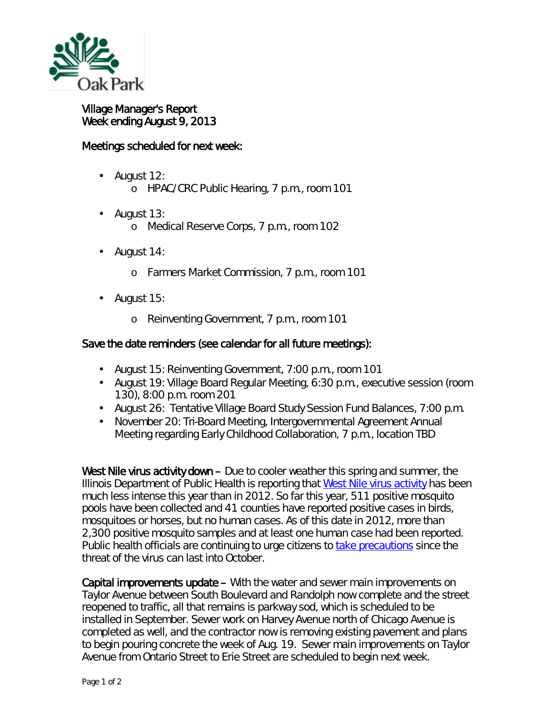

 $\overline{a}$ 

## Village Manager's Report Week ending August 9, 2013

## Meetings scheduled for next week:

- August 12: ä, o HPAC/CRC Public Hearing, 7 p.m., room 101
- August 13: o Medical Reserve Corps, 7 p.m., room 102
- August 14:
	- o Farmers Market Commission, 7 p.m., room 101
- August 15: L.
	- o Reinventing Government, 7 p.m., room 101

## Save the date reminders (see calendar for all future meetings):

- August 15: Reinventing Government, 7:00 p.m., room 101
- August 19: Village Board Regular Meeting, 6:30 p.m., executive session (room 130), 8:00 p.m. room 201
- August 26: Tentative Village Board Study Session Fund Balances, 7:00 p.m.
- November 20: Tri-Board Meeting, Intergovernmental Agreement Annual Meeting regarding Early Childhood Collaboration, 7 p.m., location TBD

West Nile virus activity down – Due to cooler weather this spring and summer, the Illinois Department of Public Health is reporting that [West Nile virus activity](http://www.idph.state.il.us/envhealth/wnvglance13.htm) has been much less intense this year than in 2012. So far this year, 511 positive mosquito pools have been collected and 41 counties have reported positive cases in birds, mosquitoes or horses, but no human cases. As of this date in 2012, more than 2,300 positive mosquito samples and at least one human case had been reported. Public health officials are continuing to urge citizens to [take precautions](http://www.oak-park.us/village-services/health-department/west-nile-virus) since the threat of the virus can last into October.

Capital improvements update – With the water and sewer main improvements on Taylor Avenue between South Boulevard and Randolph now complete and the street reopened to traffic, all that remains is parkway sod, which is scheduled to be installed in September. Sewer work on Harvey Avenue north of Chicago Avenue is completed as well, and the contractor now is removing existing pavement and plans to begin pouring concrete the week of Aug. 19. Sewer main improvements on Taylor Avenue from Ontario Street to Erie Street are scheduled to begin next week.